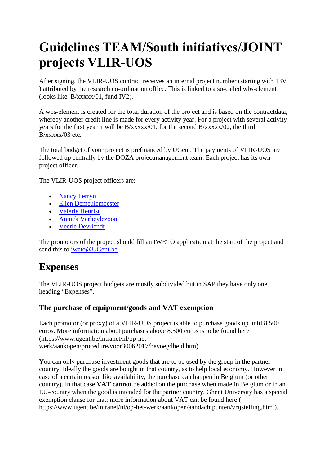# **Guidelines TEAM/South initiatives/JOINT projects VLIR-UOS**

After signing, the VLIR-UOS contract receives an internal project number (starting with 13V ) attributed by the research co-ordination office. This is linked to a so-called wbs-element (looks like B/xxxxx/01, fund IV2).

A wbs-element is created for the total duration of the project and is based on the contractdata, whereby another credit line is made for every activity year. For a project with several activity years for the first year it will be B/xxxxx/01, for the second B/xxxxx/02, the third B/xxxxx/03 etc.

The total budget of your project is prefinanced by UGent. The payments of VLIR-UOS are followed up centrally by the DOZA projectmanagement team. Each project has its own project officer.

The VLIR-UOS project officers are:

- [Nancy Terryn](http://telefoonboek.ugent.be/nl/people/801000879020)
- [Elien Demeulemeester](http://telefoonboek.ugent.be/nl/people/802001109775)
- [Valerie Henrist](http://telefoonboek.ugent.be/nl/people/802000274464)
- [Annick Verheylezoon](http://telefoonboek.ugent.be/nl/people/801000897006)
- [Veerle Devriendt](http://telefoonboek.ugent.be/nl/simple?filter=&gatewayed=true&name=Veerle+Devriendt&next=%2Fnl%2Fsimple%3Ffilter%3D%26search%3DZoek%26organizational_unit%3D%26name%3DVeerle%2BDevriendt&organizational_unit=&search=Zoek)

The promotors of the project should fill an IWETO application at the start of the project and send this to [iweto@UGent.be.](mailto:iweto@UGent.be)

# **Expenses**

The VLIR-UOS project budgets are mostly subdivided but in SAP they have only one heading "Expenses".

### **The purchase of equipment/goods and VAT exemption**

Each promotor (or proxy) of a VLIR-UOS project is able to purchase goods up until 8.500 euros. More information about purchases above 8.500 euros is to be found here (https://www.ugent.be/intranet/nl/op-hetwerk/aankopen/procedure/voor30062017/bevoegdheid.htm).

You can only purchase investment goods that are to be used by the group in the partner country. Ideally the goods are bought in that country, as to help local economy. However in case of a certain reason like availability, the purchase can happen in Belgium (or other country). In that case **VAT cannot** be added on the purchase when made in Belgium or in an EU-country when the good is intended for the partner country. Ghent University has a special exemption clause for that: more information about VAT can be found here ( https://www.ugent.be/intranet/nl/op-het-werk/aankopen/aandachtpunten/vrijstelling.htm ).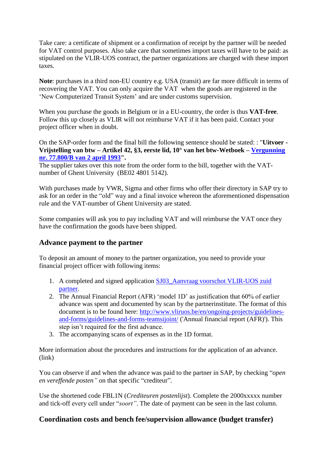Take care: a certificate of shipment or a confirmation of receipt by the partner will be needed for VAT control purposes. Also take care that sometimes import taxes will have to be paid: as stipulated on the VLIR-UOS contract, the partner organizations are charged with these import taxes.

**Note**: purchases in a third non-EU country e.g. USA (transit) are far more difficult in terms of recovering the VAT. You can only acquire the VAT when the goods are registered in the 'New Computerized Transit System' and are under customs supervision.

When you purchase the goods in Belgium or in a EU-country, the order is thus **VAT-free**. Follow this up closely as VLIR will not reimburse VAT if it has been paid. Contact your project officer when in doubt.

On the SAP-order form and the final bill the following sentence should be stated: : "**Uitvoer - Vrijstelling van btw – Artikel 42, §3, eerste lid, 10° van het btw-Wetboek – [Vergunning](http://www.ugent.be/nl/onderzoek/ontwikkelingssamenwerking/documenten-ontwikkelingssamenwerking/vrijstellingsregelgevingOS.pdf)  [nr. 77.800/B van 2 april 1993"](http://www.ugent.be/nl/onderzoek/ontwikkelingssamenwerking/documenten-ontwikkelingssamenwerking/vrijstellingsregelgevingOS.pdf).** 

The supplier takes over this note from the order form to the bill, together with the VATnumber of Ghent University (BE02 4801 5142).

With purchases made by VWR, Sigma and other firms who offer their directory in SAP try to ask for an order in the "old" way and a final invoice whereon the aforementioned dispensation rule and the VAT-number of Ghent University are stated.

Some companies will ask you to pay including VAT and will reimburse the VAT once they have the confirmation the goods have been shipped.

#### **Advance payment to the partner**

To deposit an amount of money to the partner organization, you need to provide your financial project officer with following items:

- 1. A completed and signed application [SJ03\\_Aanvraag voorschot VLIR-UOS zuid](https://www.ugent.be/finpro/nl/vliruos/uitvoering/proceduresinstructies/sj_aanvr_voorsch_zuid_vlir_uos.pdf/view)  [partner.](https://www.ugent.be/finpro/nl/vliruos/uitvoering/proceduresinstructies/sj_aanvr_voorsch_zuid_vlir_uos.pdf/view)
- 2. The Annual Financial Report (AFR) 'model 1D' as justification that 60% of earlier advance was spent and documented by scan by the partnerinstitute. The format of this document is to be found here: [http://www.vliruos.be/en/ongoing-projects/guidelines](http://www.vliruos.be/en/ongoing-projects/guidelines-and-forms/guidelines-and-forms-teamsijoint/)[and-forms/guidelines-and-forms-teamsijoint/](http://www.vliruos.be/en/ongoing-projects/guidelines-and-forms/guidelines-and-forms-teamsijoint/) ('Annual financial report (AFR)'). This step isn't required for the first advance.
- 3. The accompanying scans of expenses as in the 1D format.

More information about the procedures and instructions for the application of an advance. (link)

You can observe if and when the advance was paid to the partner in SAP, by checking "*open en vereffende posten"* on that specific "crediteur"*.*

Use the shortened code FBL1N (*Crediteuren postenlijst*). Complete the 2000xxxxx number and tick-off every cell under "*soort"*. The date of payment can be seen in the last column.

#### **Coordination costs and bench fee/supervision allowance (budget transfer)**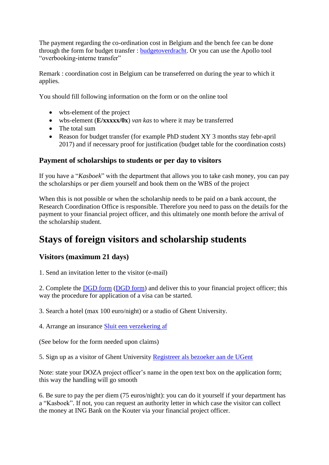The payment regarding the co-ordination cost in Belgium and the bench fee can be done through the form for budget transfer : [budgetoverdracht.](http://www.ugent.be/intranet/nl/op-het-werk/finadmin/documenten/aanvraag-budgetoverdracht.pdf) Or you can use the Apollo tool "overbooking-interne transfer"

Remark : coordination cost in Belgium can be transeferred on during the year to which it applies.

You should fill following information on the form or on the online tool

- wbs-element of the project
- wbs-element (**E/xxxxx/0x**) *van kas* to where it may be transferred
- The total sum
- Reason for budget transfer (for example PhD student XY 3 months stay febr-april 2017) and if necessary proof for justification (budget table for the coordination costs)

### **Payment of scholarships to students or per day to visitors**

If you have a "*Kasboek*" with the department that allows you to take cash money, you can pay the scholarships or per diem yourself and book them on the WBS of the project

When this is not possible or when the scholarship needs to be paid on a bank account, the Research Coordination Office is responsible. Therefore you need to pass on the details for the payment to your financial project officer, and this ultimately one month before the arrival of the scholarship student.

# **Stays of foreign visitors and scholarship students**

### **Visitors (maximum 21 days)**

1. Send an invitation letter to the visitor (e-mail)

2. Complete the DGD form [\(DGD form\)](http://www.ugent.be/nl/onderzoek/ontwikkelingssamenwerking/documenten-ontwikkelingssamenwerking/dgdsjabloon.pdf) and deliver this to your financial project officer; this way the procedure for application of a visa can be started.

3. Search a hotel (max 100 euro/night) or a studio of Ghent University.

4. Arrange an insurance [Sluit een verzekering af](https://webster.ugent.be/verzekeringspolissen/All-in-Europese/)

(See below for the form needed upon claims)

5. Sign up as a visitor of Ghent University [Registreer als bezoeker aan de UGent](http://www.ugent.be/intranet/nl/op-het-werk/aanwervingen/kaarten-badges/bezoekerskaart/bezoekerskaart.htm)

Note: state your DOZA project officer's name in the open text box on the application form; this way the handling will go smooth

6. Be sure to pay the per diem (75 euros/night): you can do it yourself if your department has a "Kasboek". If not, you can request an authority letter in which case the visitor can collect the money at ING Bank on the Kouter via your financial project officer.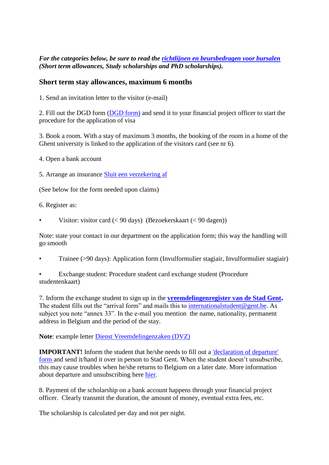#### *For the categories below, be sure to read the [richtlijnen en beursbedragen voor bursalen](http://www.vliruos.be/media/3573194/allowances_and_guidelines_for_scholarships__2013__final_2013-09-06.pdf) (Short term allowances, Study scholarships and PhD scholarships).*

#### **Short term stay allowances, maximum 6 months**

1. Send an invitation letter to the visitor (e-mail)

2. Fill out the DGD form [\(DGD form\)](http://www.ugent.be/nl/onderzoek/ontwikkelingssamenwerking/documenten-ontwikkelingssamenwerking/dgdsjabloon.pdf) and send it to your financial project officer to start the procedure for the application of visa

3. Book a room. With a stay of maximum 3 months, the booking of the room in a home of the Ghent university is linked to the application of the visitors card (see nr 6).

4. Open a bank account

5. Arrange an insurance [Sluit een verzekering af](https://webster.ugent.be/verzekeringspolissen/All-in-Europese/)

(See below for the form needed upon claims)

6. Register as:

Visitor: visitor card  $(< 90 \text{ days})$  (Bezoekerskaart  $(< 90 \text{ dagen})$ )

Note: state your contact in our department on the application form; this way the handling will go smooth

- Trainee (>90 days): Application form (Invulformulier stagiair, Invulformulier stagiair)
- Exchange student: Procedure student card exchange student (Procedure studentenkaart)

7. Inform the exchange student to sign up in the **[vreemdelingenregister van de Stad Gent](http://www.gent.be/eCache/STN/1/40/978.html).** The student fills out the "arrival form" and mails this to [internationalstudent@gent.be.](mailto:internationalstudent@gent.be) As subject you note "annex 33". In the e-mail you mention the name, nationality, permanent address in Belgium and the period of the stay.

**Note**: example letter [Dienst Vreemdelingenzaken \(DVZ\)](http://www.ugent.be/nl/onderzoek/financiering/ontwikkelingssamenwerking/draaiboek/dvzbewijsbeursvoorbeeld.docx)

**IMPORTANT!** Inform the student that he/she needs to fill out a 'declaration of departure' form and send it/hand it over in person to Stad Gent. When the student doesn't unsubscribe, this may cause troubles when he/she returns to Belgium on a later date. More information about departure and unsubscribing here [hier.](https://stad.gent/burgerzaken/niet-belgen/verblijf-inschrijving/internationale-studenten/internationale-studenten-vertrek-uit-belgi%C3%AB)

8. Payment of the scholarship on a bank account happens through your financial project officer. Clearly transmit the duration, the amount of money, eventual extra fees, etc.

The scholarship is calculated per day and not per night.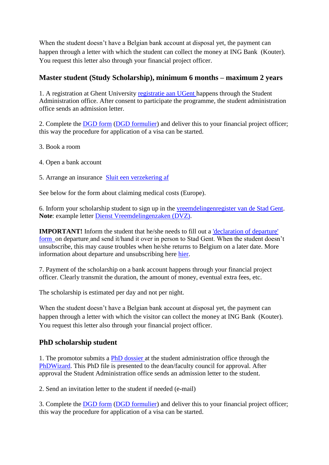When the student doesn't have a Belgian bank account at disposal yet, the payment can happen through a letter with which the student can collect the money at ING Bank (Kouter). You request this letter also through your financial project officer.

### **Master student (Study Scholarship), minimum 6 months – maximum 2 years**

1. A registration at Ghent University [registratie aan UGent](http://www.ugent.be/en/teaching/admission/degreestudent/application) happens through the Student Administration office. After consent to participate the programme, the student administration office sends an admission letter.

2. Complete the DGD form [\(DGD formulier\)](http://www.ugent.be/nl/onderzoek/ontwikkelingssamenwerking/documenten-ontwikkelingssamenwerking/dgdsjabloon.pdf) and deliver this to your financial project officer; this way the procedure for application of a visa can be started.

- 3. Book a room
- 4. Open a bank account

#### 5. Arrange an insurance [Sluit een verzekering af](https://webster.ugent.be/verzekeringspolissen/All-in-Europese/)

See below for the form about claiming medical costs (Europe).

6. Inform your scholarship student to sign up in the [vreemdelingenregister van de Stad Gent.](http://www.gent.be/eCache/STN/1/40/978.html) **Note**: example letter [Dienst Vreemdelingenzaken \(DVZ\).](http://www.ugent.be/nl/onderzoek/financiering/ontwikkelingssamenwerking/draaiboek/dvzbewijsbeursvoorbeeld.docx)

**IMPORTANT!** Inform the student that he/she needs to fill out a 'declaration of departure' form on departure and send it/hand it over in person to Stad Gent. When the student doesn't unsubscribe, this may cause troubles when he/she returns to Belgium on a later date. More information about departure and unsubscribing here [hier.](https://stad.gent/burgerzaken/niet-belgen/verblijf-inschrijving/internationale-studenten/internationale-studenten-vertrek-uit-belgi%C3%AB)

7. Payment of the scholarship on a bank account happens through your financial project officer. Clearly transmit the duration, the amount of money, eventual extra fees, etc.

The scholarship is estimated per day and not per night.

When the student doesn't have a Belgian bank account at disposal yet, the payment can happen through a letter with which the visitor can collect the money at ING Bank (Kouter). You request this letter also through your financial project officer.

### **PhD scholarship student**

1. The promotor submits a [PhD dossier](http://www.ugent.be/en/teaching/admission/degreestudent/requirement/diploma/phd.htm) at the student administration office through the [PhDWizard.](http://www.ugent.be/en/research/research-staff/phdwizard) This PhD file is presented to the dean/faculty council for approval. After approval the Student Administration office sends an admission letter to the student.

2. Send an invitation letter to the student if needed (e-mail)

3. Complete the DGD form [\(DGD formulier\)](http://www.ugent.be/nl/onderzoek/ontwikkelingssamenwerking/documenten-ontwikkelingssamenwerking/dgdsjabloon.pdf) and deliver this to your financial project officer; this way the procedure for application of a visa can be started.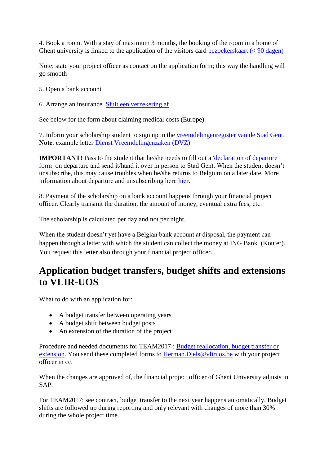4. Book a room. With a stay of maximum 3 months, the booking of the room in a home of Ghent university is linked to the application of the visitors card bezoekers kaart  $(< 90 \text{ dagen})$ 

Note: state your project officer as contact on the application form; this way the handling will go smooth

5. Open a bank account

6. Arrange an insurance [Sluit een verzekering af](https://webster.ugent.be/verzekeringspolissen/All-in-Europese/) 

See below for the form about claiming medical costs (Europe).

7. Inform your scholarship student to sign up in the [vreemdelingenregister van de Stad Gent.](http://www.gent.be/eCache/STN/1/40/978.html) **Note**: example letter [Dienst Vreemdelingenzaken \(DVZ\)](http://www.ugent.be/nl/onderzoek/financiering/ontwikkelingssamenwerking/draaiboek/dvzbewijsbeursvoorbeeld.docx)

**IMPORTANT!** Pass to the student that he/she needs to fill out a 'declaration of departure' form on departure and send it/hand it over in person to Stad Gent. When the student doesn't unsubscribe, this may cause troubles when he/she returns to Belgium on a later date. More information about departure and unsubscribing here [hier.](https://stad.gent/burgerzaken/niet-belgen/verblijf-inschrijving/internationale-studenten/internationale-studenten-vertrek-uit-belgi%C3%AB)

8. Payment of the scholarship on a bank account happens through your financial project officer. Clearly transmit the duration, the amount of money, eventual extra fees, etc.

The scholarship is calculated per day and not per night.

When the student doesn't yet have a Belgian bank account at disposal, the payment can happen through a letter with which the student can collect the money at ING Bank (Kouter). You request this letter also through your financial project officer.

### **Application budget transfers, budget shifts and extensions to VLIR-UOS**

What to do with an application for:

- A budget transfer between operating years
- A budget shift between budget posts
- An extension of the duration of the project

Procedure and needed documents for TEAM2017 : [Budget reallocation, budget transfer or](http://www.vliruos.be/en/ongoing-projects/guidelines-and-forms/guidelines-and-forms-teamsijoint/)  [extension.](http://www.vliruos.be/en/ongoing-projects/guidelines-and-forms/guidelines-and-forms-teamsijoint/) You send these completed forms to [Herman.Diels@vliruos.be](mailto:Herman.Diels@vliruos.be) with your project officer in cc.

When the changes are approved of, the financial project officer of Ghent University adjusts in SAP.

For TEAM2017: see contract, budget transfer to the next year happens automatically. Budget shifts are followed up during reporting and only relevant with changes of more than 30% during the whole project time.